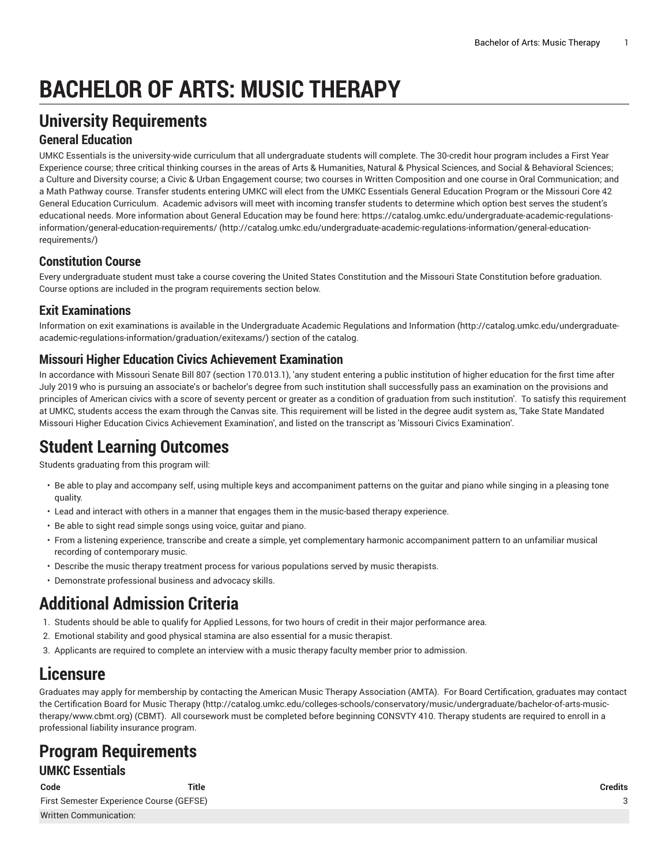# **BACHELOR OF ARTS: MUSIC THERAPY**

## **University Requirements**

### **General Education**

UMKC Essentials is the university-wide curriculum that all undergraduate students will complete. The 30-credit hour program includes a First Year Experience course; three critical thinking courses in the areas of Arts & Humanities, Natural & Physical Sciences, and Social & Behavioral Sciences; a Culture and Diversity course; a Civic & Urban Engagement course; two courses in Written Composition and one course in Oral Communication; and a Math Pathway course. Transfer students entering UMKC will elect from the UMKC Essentials General Education Program or the Missouri Core 42 General Education Curriculum. Academic advisors will meet with incoming transfer students to determine which option best serves the student's educational needs. More information about General Education may be found here: [https://catalog.umkc.edu/undergraduate-academic-regulations](http://catalog.umkc.edu/undergraduate-academic-regulations-information/general-education-requirements/)[information/general-education-requirements/](http://catalog.umkc.edu/undergraduate-academic-regulations-information/general-education-requirements/) ([http://catalog.umkc.edu/undergraduate-academic-regulations-information/general-education](http://catalog.umkc.edu/undergraduate-academic-regulations-information/general-education-requirements/)[requirements/\)](http://catalog.umkc.edu/undergraduate-academic-regulations-information/general-education-requirements/)

### **Constitution Course**

Every undergraduate student must take a course covering the United States Constitution and the Missouri State Constitution before graduation. Course options are included in the program requirements section below.

### **Exit Examinations**

Information on exit examinations is available in the [Undergraduate](http://catalog.umkc.edu/undergraduate-academic-regulations-information/graduation/exitexams/) Academic Regulations and Information [\(http://catalog.umkc.edu/undergraduate](http://catalog.umkc.edu/undergraduate-academic-regulations-information/graduation/exitexams/)[academic-regulations-information/graduation/exitexams/](http://catalog.umkc.edu/undergraduate-academic-regulations-information/graduation/exitexams/)) section of the catalog.

### **Missouri Higher Education Civics Achievement Examination**

In accordance with Missouri Senate Bill 807 (section 170.013.1), 'any student entering a public institution of higher education for the first time after July 2019 who is pursuing an associate's or bachelor's degree from such institution shall successfully pass an examination on the provisions and principles of American civics with a score of seventy percent or greater as a condition of graduation from such institution'. To satisfy this requirement at UMKC, students access the exam through the Canvas site. This requirement will be listed in the degree audit system as, 'Take State Mandated Missouri Higher Education Civics Achievement Examination', and listed on the transcript as 'Missouri Civics Examination'.

## **Student Learning Outcomes**

Students graduating from this program will:

- Be able to play and accompany self, using multiple keys and accompaniment patterns on the guitar and piano while singing in a pleasing tone quality.
- Lead and interact with others in a manner that engages them in the music-based therapy experience.
- Be able to sight read simple songs using voice, guitar and piano.
- From a listening experience, transcribe and create a simple, yet complementary harmonic accompaniment pattern to an unfamiliar musical recording of contemporary music.
- Describe the music therapy treatment process for various populations served by music therapists.
- Demonstrate professional business and advocacy skills.

## **Additional Admission Criteria**

- 1. Students should be able to qualify for Applied Lessons, for two hours of credit in their major performance area.
- 2. Emotional stability and good physical stamina are also essential for a music therapist.
- 3. Applicants are required to complete an interview with a music therapy faculty member prior to admission.

## **Licensure**

Graduates may apply for membership by contacting the American Music Therapy Association (AMTA). For Board Certification, graduates may contact the [Certification](http://catalog.umkc.edu/colleges-schools/conservatory/music/undergraduate/bachelor-of-arts-music-therapy/www.cbmt.org) Board for Music Therapy [\(http://catalog.umkc.edu/colleges-schools/conservatory/music/undergraduate/bachelor-of-arts-music](http://catalog.umkc.edu/colleges-schools/conservatory/music/undergraduate/bachelor-of-arts-music-therapy/www.cbmt.org)[therapy/www.cbmt.org\)](http://catalog.umkc.edu/colleges-schools/conservatory/music/undergraduate/bachelor-of-arts-music-therapy/www.cbmt.org) (CBMT). All coursework must be completed before beginning CONSVTY 410. Therapy students are required to enroll in a professional liability insurance program.

### **Program Requirements UMKC Essentials**

| Code                                     | Title | Credits |
|------------------------------------------|-------|---------|
| First Semester Experience Course (GEFSE) |       |         |
| Written Communication:                   |       |         |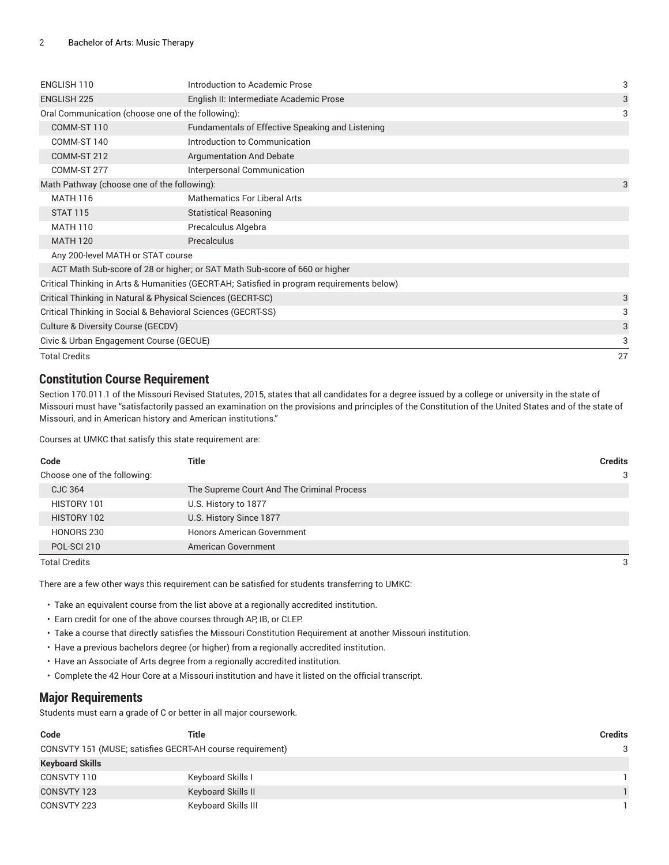| ENGLISH 110                                                  | Introduction to Academic Prose                                                             | 3  |
|--------------------------------------------------------------|--------------------------------------------------------------------------------------------|----|
| <b>ENGLISH 225</b>                                           | English II: Intermediate Academic Prose                                                    | 3  |
| Oral Communication (choose one of the following):            |                                                                                            | 3  |
| COMM-ST 110                                                  | Fundamentals of Effective Speaking and Listening                                           |    |
| COMM-ST 140                                                  | Introduction to Communication                                                              |    |
| COMM-ST 212                                                  | <b>Argumentation And Debate</b>                                                            |    |
| COMM-ST 277                                                  | Interpersonal Communication                                                                |    |
| Math Pathway (choose one of the following):                  |                                                                                            | 3  |
| <b>MATH 116</b>                                              | Mathematics For Liberal Arts                                                               |    |
| <b>STAT 115</b>                                              | <b>Statistical Reasoning</b>                                                               |    |
| <b>MATH 110</b>                                              | Precalculus Algebra                                                                        |    |
| <b>MATH 120</b>                                              | Precalculus                                                                                |    |
| Any 200-level MATH or STAT course                            |                                                                                            |    |
|                                                              | ACT Math Sub-score of 28 or higher; or SAT Math Sub-score of 660 or higher                 |    |
|                                                              | Critical Thinking in Arts & Humanities (GECRT-AH; Satisfied in program requirements below) |    |
|                                                              | Critical Thinking in Natural & Physical Sciences (GECRT-SC)                                | 3  |
| Critical Thinking in Social & Behavioral Sciences (GECRT-SS) |                                                                                            | 3  |
| Culture & Diversity Course (GECDV)                           |                                                                                            | 3  |
| Civic & Urban Engagement Course (GECUE)                      |                                                                                            | 3  |
| <b>Total Credits</b>                                         |                                                                                            | 27 |

#### **Constitution Course Requirement**

Section 170.011.1 of the Missouri Revised Statutes, 2015, states that all candidates for a degree issued by a college or university in the state of Missouri must have "satisfactorily passed an examination on the provisions and principles of the Constitution of the United States and of the state of Missouri, and in American history and American institutions."

Courses at UMKC that satisfy this state requirement are:

| Code                         | Title                                      | <b>Credits</b> |
|------------------------------|--------------------------------------------|----------------|
| Choose one of the following: |                                            | 3              |
| CJC 364                      | The Supreme Court And The Criminal Process |                |
| HISTORY 101                  | U.S. History to 1877                       |                |
| HISTORY 102                  | U.S. History Since 1877                    |                |
| HONORS 230                   | <b>Honors American Government</b>          |                |
| POL-SCI 210                  | American Government                        |                |

Total Credits 3

There are a few other ways this requirement can be satisfied for students transferring to UMKC:

• Take an equivalent course from the list above at a regionally accredited institution.

- Earn credit for one of the above courses through AP, IB, or CLEP.
- Take a course that directly satisfies the Missouri Constitution Requirement at another Missouri institution.
- Have a previous bachelors degree (or higher) from a regionally accredited institution.
- Have an Associate of Arts degree from a regionally accredited institution.
- Complete the 42 Hour Core at a Missouri institution and have it listed on the official transcript.

#### **Major Requirements**

Students must earn a grade of C or better in all major coursework.

| Code                                                      | Title               | Credits |
|-----------------------------------------------------------|---------------------|---------|
| CONSVTY 151 (MUSE; satisfies GECRT-AH course requirement) |                     | 3       |
| <b>Keyboard Skills</b>                                    |                     |         |
| CONSVTY 110                                               | Keyboard Skills I   |         |
| CONSVTY 123                                               | Keyboard Skills II  |         |
| CONSVTY 223                                               | Keyboard Skills III |         |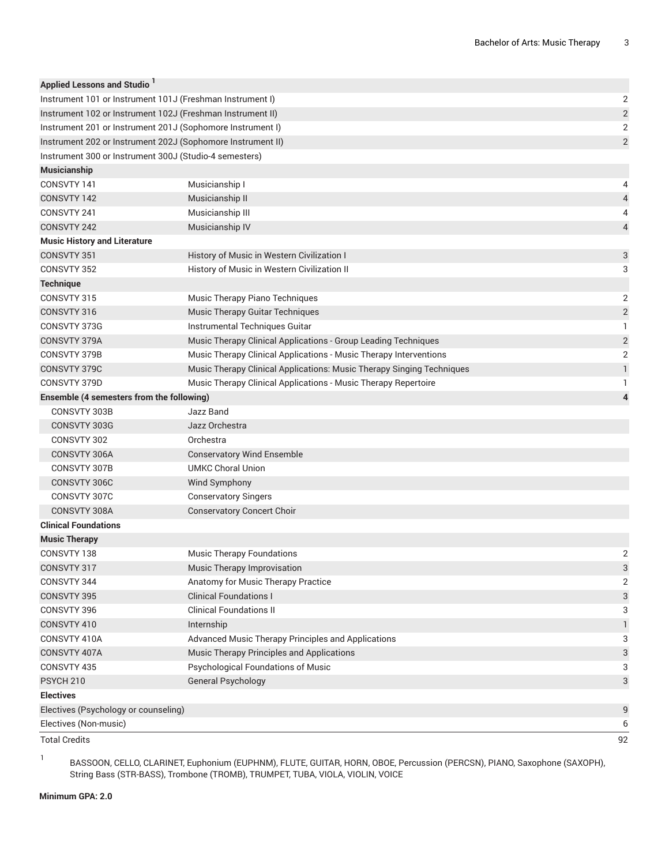| <b>Applied Lessons and Studio</b>                           |                                                                       |                         |  |
|-------------------------------------------------------------|-----------------------------------------------------------------------|-------------------------|--|
| Instrument 101 or Instrument 101J (Freshman Instrument I)   |                                                                       |                         |  |
| Instrument 102 or Instrument 102J (Freshman Instrument II)  |                                                                       |                         |  |
| Instrument 201 or Instrument 201J (Sophomore Instrument I)  |                                                                       |                         |  |
| Instrument 202 or Instrument 202J (Sophomore Instrument II) |                                                                       | $\overline{2}$          |  |
| Instrument 300 or Instrument 300J (Studio-4 semesters)      |                                                                       |                         |  |
| <b>Musicianship</b>                                         |                                                                       |                         |  |
| CONSVTY 141                                                 | Musicianship I                                                        | 4                       |  |
| CONSVTY 142                                                 | Musicianship II                                                       | 4                       |  |
| CONSVTY 241                                                 | Musicianship III                                                      | 4                       |  |
| CONSVTY 242                                                 | Musicianship IV                                                       | $\overline{4}$          |  |
| <b>Music History and Literature</b>                         |                                                                       |                         |  |
| CONSVTY 351                                                 | History of Music in Western Civilization I                            | 3                       |  |
| CONSVTY 352                                                 | History of Music in Western Civilization II                           | 3                       |  |
| <b>Technique</b>                                            |                                                                       |                         |  |
| CONSVTY 315                                                 | Music Therapy Piano Techniques                                        | 2                       |  |
| CONSVTY 316                                                 | Music Therapy Guitar Techniques                                       | $\sqrt{2}$              |  |
| CONSVTY 373G                                                | Instrumental Techniques Guitar                                        | 1                       |  |
| CONSVTY 379A                                                | Music Therapy Clinical Applications - Group Leading Techniques        | $\overline{c}$          |  |
| CONSVTY 379B                                                | Music Therapy Clinical Applications - Music Therapy Interventions     | $\sqrt{2}$              |  |
| CONSVTY 379C                                                | Music Therapy Clinical Applications: Music Therapy Singing Techniques | $\mathbf{1}$            |  |
| CONSVTY 379D                                                | Music Therapy Clinical Applications - Music Therapy Repertoire        | 1                       |  |
| Ensemble (4 semesters from the following)                   |                                                                       | $\overline{\mathbf{4}}$ |  |
| CONSVTY 303B                                                | Jazz Band                                                             |                         |  |
| CONSVTY 303G                                                | Jazz Orchestra                                                        |                         |  |
| CONSVTY 302                                                 | Orchestra                                                             |                         |  |
| CONSVTY 306A                                                | <b>Conservatory Wind Ensemble</b>                                     |                         |  |
| CONSVTY 307B                                                | <b>UMKC Choral Union</b>                                              |                         |  |
| CONSVTY 306C                                                | Wind Symphony                                                         |                         |  |
| CONSVTY 307C                                                | <b>Conservatory Singers</b>                                           |                         |  |
| CONSVTY 308A                                                | <b>Conservatory Concert Choir</b>                                     |                         |  |
| <b>Clinical Foundations</b>                                 |                                                                       |                         |  |
| <b>Music Therapy</b>                                        |                                                                       |                         |  |
| CONSVTY 138                                                 | <b>Music Therapy Foundations</b>                                      | 2                       |  |
| CONSVTY 317                                                 | Music Therapy Improvisation                                           | 3                       |  |
| CONSVTY 344                                                 | Anatomy for Music Therapy Practice                                    | 2                       |  |
| <b>CONSVTY 395</b>                                          | <b>Clinical Foundations I</b>                                         | 3                       |  |
| CONSVTY 396                                                 | <b>Clinical Foundations II</b>                                        | 3                       |  |
| CONSVTY 410                                                 | Internship                                                            | $\mathbf{1}$            |  |
| CONSVTY 410A                                                | Advanced Music Therapy Principles and Applications                    | 3                       |  |
| CONSVTY 407A                                                | Music Therapy Principles and Applications                             | 3                       |  |
| CONSVTY 435                                                 | Psychological Foundations of Music                                    | 3                       |  |
| PSYCH <sub>210</sub>                                        | <b>General Psychology</b>                                             | 3                       |  |
| <b>Electives</b>                                            |                                                                       |                         |  |
| Electives (Psychology or counseling)                        |                                                                       | 9                       |  |
| Electives (Non-music)                                       |                                                                       |                         |  |
| <b>Total Credits</b>                                        |                                                                       | 92                      |  |

1

BASSOON, CELLO, CLARINET, Euphonium (EUPHNM), FLUTE, GUITAR, HORN, OBOE, Percussion (PERCSN), PIANO, Saxophone (SAXOPH), String Bass (STR-BASS), Trombone (TROMB), TRUMPET, TUBA, VIOLA, VIOLIN, VOICE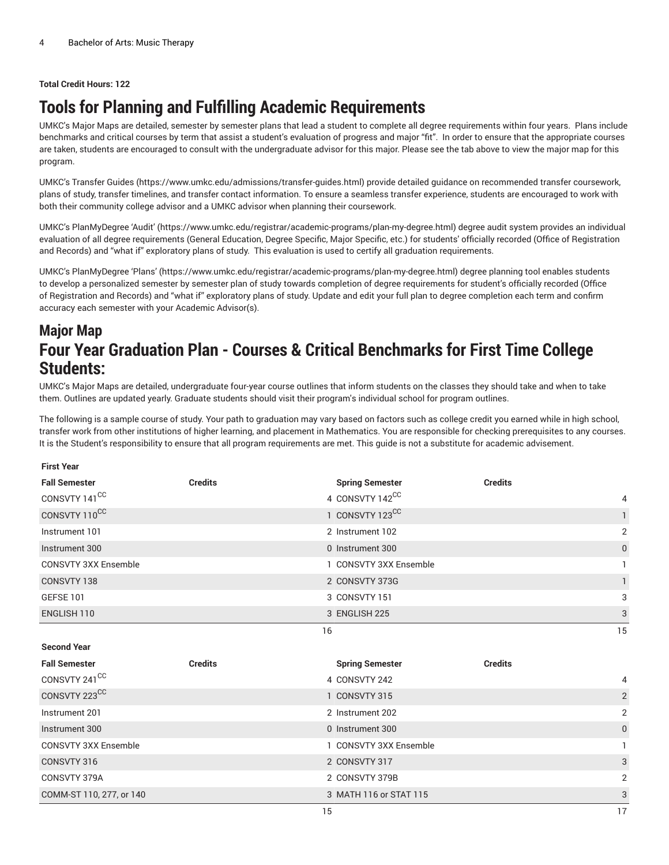#### **Total Credit Hours: 122**

## **Tools for Planning and Fulfilling Academic Requirements**

UMKC's Major Maps are detailed, semester by semester plans that lead a student to complete all degree requirements within four years. Plans include benchmarks and critical courses by term that assist a student's evaluation of progress and major "fit". In order to ensure that the appropriate courses are taken, students are encouraged to consult with the undergraduate advisor for this major. Please see the tab above to view the major map for this program.

UMKC's [Transfer](https://www.umkc.edu/admissions/transfer-guides.html) Guides [\(https://www.umkc.edu/admissions/transfer-guides.html](https://www.umkc.edu/admissions/transfer-guides.html)) provide detailed guidance on recommended transfer coursework, plans of study, transfer timelines, and transfer contact information. To ensure a seamless transfer experience, students are encouraged to work with both their community college advisor and a UMKC advisor when planning their coursework.

UMKC's [PlanMyDegree](https://www.umkc.edu/registrar/academic-programs/plan-my-degree.html) 'Audit' ([https://www.umkc.edu/registrar/academic-programs/plan-my-degree.html\)](https://www.umkc.edu/registrar/academic-programs/plan-my-degree.html) degree audit system provides an individual evaluation of all degree requirements (General Education, Degree Specific, Major Specific, etc.) for students' officially recorded (Office of Registration and Records) and "what if" exploratory plans of study. This evaluation is used to certify all graduation requirements.

UMKC's [PlanMyDegree](https://www.umkc.edu/registrar/academic-programs/plan-my-degree.html) 'Plans' [\(https://www.umkc.edu/registrar/academic-programs/plan-my-degree.html\)](https://www.umkc.edu/registrar/academic-programs/plan-my-degree.html) degree planning tool enables students to develop a personalized semester by semester plan of study towards completion of degree requirements for student's officially recorded (Office of Registration and Records) and "what if" exploratory plans of study. Update and edit your full plan to degree completion each term and confirm accuracy each semester with your Academic Advisor(s).

## **Major Map Four Year Graduation Plan - Courses & Critical Benchmarks for First Time College Students:**

UMKC's Major Maps are detailed, undergraduate four-year course outlines that inform students on the classes they should take and when to take them. Outlines are updated yearly. Graduate students should visit their program's individual school for program outlines.

The following is a sample course of study. Your path to graduation may vary based on factors such as college credit you earned while in high school, transfer work from other institutions of higher learning, and placement in Mathematics. You are responsible for checking prerequisites to any courses. It is the Student's responsibility to ensure that all program requirements are met. This guide is not a substitute for academic advisement.

#### **First Year**

| <b>Fall Semester</b>        | <b>Credits</b> | <b>Spring Semester</b> | <b>Credits</b> |
|-----------------------------|----------------|------------------------|----------------|
| CONSVTY 141 <sup>CC</sup>   |                | 4 CONSVTY 142CC        | 4              |
| CONSVTY 110CC               |                | 1 CONSVTY 123CC        | $\mathbf{1}$   |
| Instrument 101              |                | 2 Instrument 102       | 2              |
| Instrument 300              |                | 0 Instrument 300       | $\mathbf{0}$   |
| <b>CONSVTY 3XX Ensemble</b> |                | 1 CONSVTY 3XX Ensemble |                |
| CONSVTY 138                 |                | 2 CONSVTY 373G         | $\mathbf{1}$   |
| <b>GEFSE 101</b>            |                | 3 CONSVTY 151          | 3              |
| ENGLISH 110                 |                | 3 ENGLISH 225          | 3              |
|                             | 16             |                        | 15             |
| <b>Second Year</b>          |                |                        |                |
| <b>Fall Semester</b>        | <b>Credits</b> | <b>Spring Semester</b> | <b>Credits</b> |
| CONSVTY 241 <sup>CC</sup>   |                | 4 CONSVTY 242          | 4              |
| CONSVTY 223CC               |                |                        |                |
|                             |                | 1 CONSVTY 315          | $\overline{2}$ |
| Instrument 201              |                | 2 Instrument 202       | 2              |
| Instrument 300              |                | 0 Instrument 300       | $\mathbf{0}$   |
| <b>CONSVTY 3XX Ensemble</b> |                | 1 CONSVTY 3XX Ensemble |                |
| CONSVTY 316                 |                | 2 CONSVTY 317          | 3              |
| CONSVTY 379A                |                | 2 CONSVTY 379B         | 2              |
| COMM-ST 110, 277, or 140    |                | 3 MATH 116 or STAT 115 | 3              |